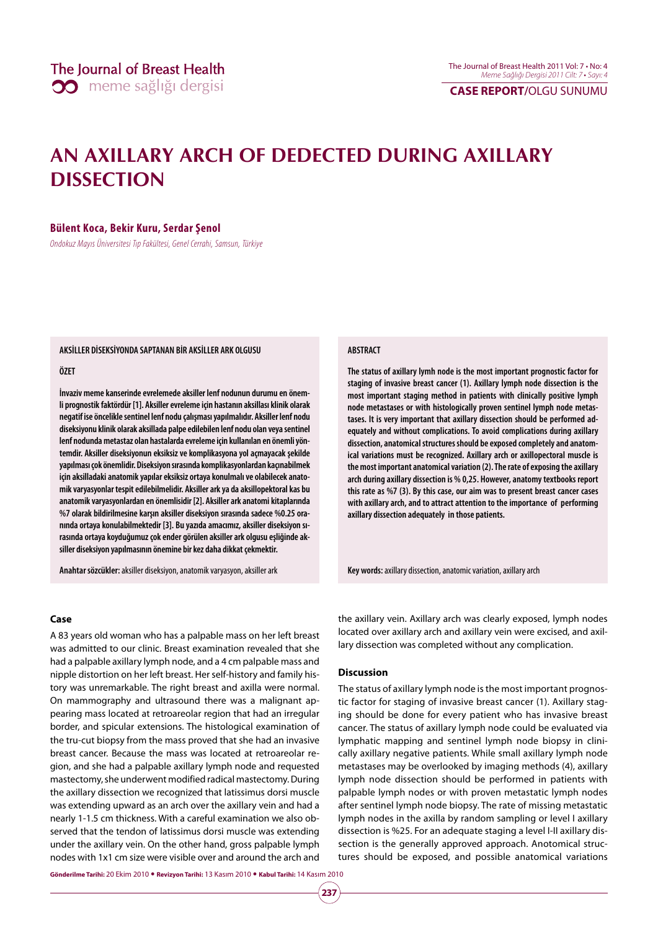**CASE REPORT/**OLGU SUNUMU

# **AN AXILLARY ARCH OF DEDECTED DURING AXILLARY DISSECTION**

## **Bülent Koca, Bekir Kuru, Serdar Şenol**

Ondokuz Mayıs Üniversitesi Tıp Fakültesi, Genel Cerrahi, Samsun, Türkiye

#### **AKSİLLER DİSEKSİYONDA SAPTANAN BİR AKSİLLER ARK OLGUSU**

#### **ÖZET**

**İnvaziv meme kanserinde evrelemede aksiller lenf nodunun durumu en önemli prognostik faktördür [1]. Aksiller evreleme için hastanın aksillası klinik olarak negatif ise öncelikle sentinel lenf nodu çalışması yapılmalıdır. Aksiller lenf nodu diseksiyonu klinik olarak aksillada palpe edilebilen lenf nodu olan veya sentinel lenf nodunda metastaz olan hastalarda evreleme için kullanılan en önemli yöntemdir. Aksiller diseksiyonun eksiksiz ve komplikasyona yol açmayacak şekilde yapılması çok önemlidir. Diseksiyon sırasında komplikasyonlardan kaçınabilmek için aksilladaki anatomik yapılar eksiksiz ortaya konulmalı ve olabilecek anatomik varyasyonlar tespit edilebilmelidir. Aksiller ark ya da aksillopektoral kas bu anatomik varyasyonlardan en önemlisidir [2]. Aksiller ark anatomi kitaplarında %7 olarak bildirilmesine karşın aksiller diseksiyon sırasında sadece %0.25 oranında ortaya konulabilmektedir [3]. Bu yazıda amacımız, aksiller diseksiyon sırasında ortaya koyduğumuz çok ender görülen aksiller ark olgusu eşliğinde aksiller diseksiyon yapılmasının önemine bir kez daha dikkat çekmektir.**

**Anahtar sözcükler:** aksiller diseksiyon, anatomik varyasyon, aksiller ark

#### **ABSTRACT**

**The status of axillary lymh node is the most important prognostic factor for staging of invasive breast cancer (1). Axillary lymph node dissection is the most important staging method in patients with clinically positive lymph node metastases or with histologically proven sentinel lymph node metastases. It is very important that axillary dissection should be performed adequately and without complications. To avoid complications during axillary dissection, anatomical structures should be exposed completely and anatomical variations must be recognized. Axillary arch or axillopectoral muscle is the most important anatomical variation (2). The rate of exposing the axillary arch during axillary dissection is % 0,25. However, anatomy textbooks report this rate as %7 (3). By this case, our aim was to present breast cancer cases with axillary arch, and to attract attention to the importance of performing axillary dissection adequately in those patients.** 

**Key words:** axillary dissection, anatomic variation, axillary arch

#### **Case**

A 83 years old woman who has a palpable mass on her left breast was admitted to our clinic. Breast examination revealed that she had a palpable axillary lymph node, and a 4 cm palpable mass and nipple distortion on her left breast. Her self-history and family history was unremarkable. The right breast and axilla were normal. On mammography and ultrasound there was a malignant appearing mass located at retroareolar region that had an irregular border, and spicular extensions. The histological examination of the tru-cut biopsy from the mass proved that she had an invasive breast cancer. Because the mass was located at retroareolar region, and she had a palpable axillary lymph node and requested mastectomy, she underwent modified radical mastectomy. During the axillary dissection we recognized that latissimus dorsi muscle was extending upward as an arch over the axillary vein and had a nearly 1-1.5 cm thickness. With a careful examination we also observed that the tendon of latissimus dorsi muscle was extending under the axillary vein. On the other hand, gross palpable lymph nodes with 1x1 cm size were visible over and around the arch and

the axillary vein. Axillary arch was clearly exposed, lymph nodes located over axillary arch and axillary vein were excised, and axillary dissection was completed without any complication.

## **Discussion**

The status of axillary lymph node is the most important prognostic factor for staging of invasive breast cancer (1). Axillary staging should be done for every patient who has invasive breast cancer. The status of axillary lymph node could be evaluated via lymphatic mapping and sentinel lymph node biopsy in clinically axillary negative patients. While small axillary lymph node metastases may be overlooked by imaging methods (4), axillary lymph node dissection should be performed in patients with palpable lymph nodes or with proven metastatic lymph nodes after sentinel lymph node biopsy. The rate of missing metastatic lymph nodes in the axilla by random sampling or level I axillary dissection is %25. For an adequate staging a level I-II axillary dissection is the generally approved approach. Anotomical structures should be exposed, and possible anatomical variations

**Gönderilme Tarihi:** 20 Ekim 2010 y **Revizyon Tarihi:** 13 Kasım 2010 y **Kabul Tarihi:** 14 Kasım 2010

**237**